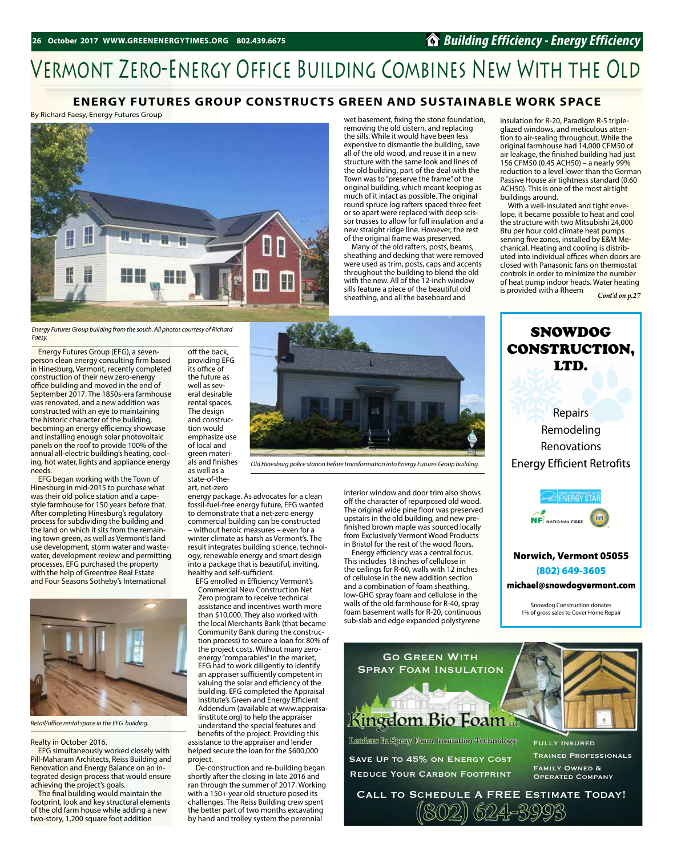### *Building Efficiency - Energy Efficiency*

buildings around.

is provided with a Rheem

insulation for R-20, Paradigm R-5 tripleglazed windows, and meticulous attention to air-sealing throughout. While the original farmhouse had 14,000 CFM50 of air leakage, the finished building had just 156 CFM50 (0.45 ACH50) – a nearly 99% reduction to a level lower than the German Passive House air tightness standard (0.60 ACH50). This is one of the most airtight

With a well-insulated and tight envelope, it became possible to heat and cool the structure with two Mitsubishi 24,000 Btu per hour cold climate heat pumps serving five zones, installed by E&M Mechanical. Heating and cooling is distributed into individual offices when doors are closed with Panasonic fans on thermostat controls in order to minimize the number of heat pump indoor heads. Water heating

# Vermont Zero-Energy Office Building Combines New With the Old

#### **ENERGY FUTURES GROUP CONSTRUCTS GREEN AND SUSTAINABLE WORK SPACE**

By Richard Faesy, Energy Futures Group



*Energy Futures Group building from the south. All photos courtesy of Richard Faesy.*

Energy Futures Group (EFG), a sevenperson clean energy consulting firm based in Hinesburg, Vermont, recently completed construction of their new zero-energy office building and moved in the end of September 2017. The 1850s-era farmhouse was renovated, and a new addition was constructed with an eye to maintaining the historic character of the building, becoming an energy efficiency showcase and installing enough solar photovoltaic panels on the roof to provide 100% of the annual all-electric building's heating, cooling, hot water, lights and appliance energy needs.

EFG began working with the Town of Hinesburg in mid-2015 to purchase what was their old police station and a capestyle farmhouse for 150 years before that. After completing Hinesburg's regulatory process for subdividing the building and the land on which it sits from the remaining town green, as well as Vermont's land use development, storm water and wastewater, development review and permitting processes, EFG purchased the property with the help of Greentree Real Estate and Four Seasons Sotheby's International



*Retail/office rental space in the EFG building.*

#### Realty in October 2016.

**EFG** simultaneously worked closely with Pill-Maharam Architects, Reiss Building and Renovation and Energy Balance on an integrated design process that would ensure achieving the project's goals.

The final building would maintain the footprint, look and key structural elements of the old farm house while adding a new two-story, 1,200 square foot addition

off the back, providing EFG its office of the future as well as several desirable rental spaces. The design and construction would emphasize use of local and green materials and finishes as well as a state-of-theart, net-zero

energy package. As advocates for a clean fossil-fuel-free energy future, EFG wanted to demonstrate that a net-zero energy commercial building can be constructed – without heroic measures – even for a winter climate as harsh as Vermont's. The result integrates building science, technology, renewable energy and smart design into a package that is beautiful, inviting, healthy and self-sufficient.

EFG enrolled in Efficiency Vermont's Commercial New Construction Net Zero program to receive technical assistance and incentives worth more than \$10,000. They also worked with the local Merchants Bank (that became Community Bank during the construction process) to secure a loan for 80% of the project costs. Without many zeroenergy "comparables" in the market, EFG had to work diligently to identify an appraiser sufficiently competent in valuing the solar and efficiency of the building. EFG completed the Appraisal Institute's Green and Energy Efficient Addendum (available at www.appraisalinstitute.org) to help the appraiser understand the special features and benefits of the project. Providing this assistance to the appraiser and lender helped secure the loan for the \$600,000 project.

De-construction and re-building began shortly after the closing in late 2016 and ran through the summer of 2017. Working with a 150+ year old structure posed its challenges. The Reiss Building crew spent the better part of two months excavating by hand and trolley system the perennial

*Old Hinesburg police station before transformation into Energy Futures Group building.*

interior window and door trim also shows off the character of repurposed old wood. The original wide pine floor was preserved upstairs in the old building, and new prefinished brown maple was sourced locally from Exclusively Vermont Wood Products in Bristol for the rest of the wood floors.

wet basement, fixing the stone foundation, removing the old cistern, and replacing the sills. While it would have been less expensive to dismantle the building, save all of the old wood, and reuse it in a new structure with the same look and lines of the old building, part of the deal with the Town was to "preserve the frame" of the original building, which meant keeping as much of it intact as possible. The original round spruce log rafters spaced three feet or so apart were replaced with deep scissor trusses to allow for full insulation and a new straight ridge line. However, the rest of the original frame was preserved. Many of the old rafters, posts, beams, sheathing and decking that were removed were used as trim, posts, caps and accents throughout the building to blend the old with the new. All of the 12-inch window sills feature a piece of the beautiful old sheathing, and all the baseboard and

Energy efficiency was a central focus. This includes 18 inches of cellulose in the ceilings for R-60, walls with 12 inches of cellulose in the new addition section and a combination of foam sheathing, low-GHG spray foam and cellulose in the walls of the old farmhouse for R-40, spray foam basement walls for R-20, continuous sub-slab and edge expanded polystyrene



SNOWDOG

*Cont'd on p.27*

CONSTRUCTION,

(802) 649-3605

michael@snowdogvermont.com

Snowdog Construction donates 1% of gross sales to Cover Home Repair



Call to Schedule A FREE Estimate Today!